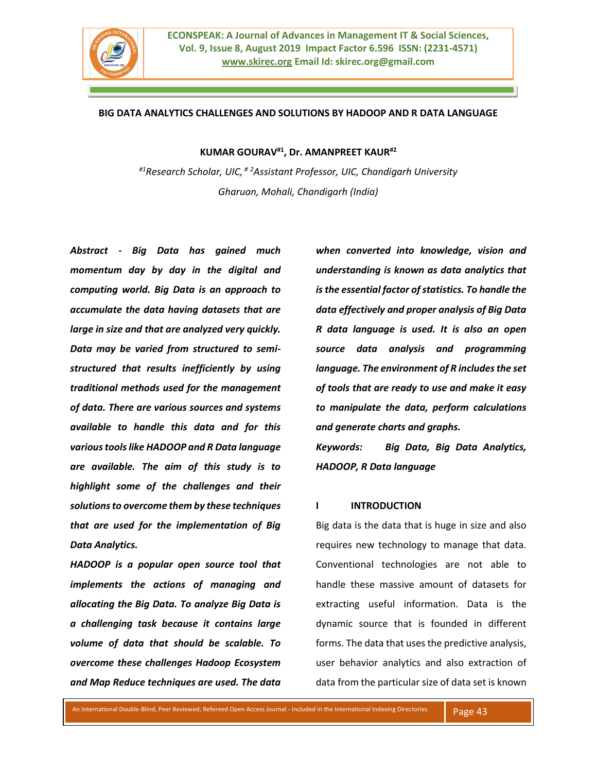

### **BIG DATA ANALYTICS CHALLENGES AND SOLUTIONS BY HADOOP AND R DATA LANGUAGE**

**KUMAR GOURAV#1, Dr. AMANPREET KAUR#2**

*#1Research Scholar, UIC, # <sup>2</sup>Assistant Professor, UIC, Chandigarh University Gharuan, Mohali, Chandigarh (India)*

*Abstract - Big Data has gained much momentum day by day in the digital and computing world. Big Data is an approach to accumulate the data having datasets that are large in size and that are analyzed very quickly. Data may be varied from structured to semistructured that results inefficiently by using traditional methods used for the management of data. There are various sources and systems available to handle this data and for this various tools like HADOOP and R Data language are available. The aim of this study is to highlight some of the challenges and their solutions to overcome them by these techniques that are used for the implementation of Big Data Analytics.*

*HADOOP is a popular open source tool that implements the actions of managing and allocating the Big Data. To analyze Big Data is a challenging task because it contains large volume of data that should be scalable. To overcome these challenges Hadoop Ecosystem and Map Reduce techniques are used. The data* 

*when converted into knowledge, vision and understanding is known as data analytics that is the essential factor of statistics. To handle the data effectively and proper analysis of Big Data R data language is used. It is also an open source data analysis and programming language. The environment of R includes the set of tools that are ready to use and make it easy to manipulate the data, perform calculations and generate charts and graphs.*

*Keywords: Big Data, Big Data Analytics, HADOOP, R Data language*

## **I INTRODUCTION**

Big data is the data that is huge in size and also requires new technology to manage that data. Conventional technologies are not able to handle these massive amount of datasets for extracting useful information. Data is the dynamic source that is founded in different forms. The data that uses the predictive analysis, user behavior analytics and also extraction of data from the particular size of data set is known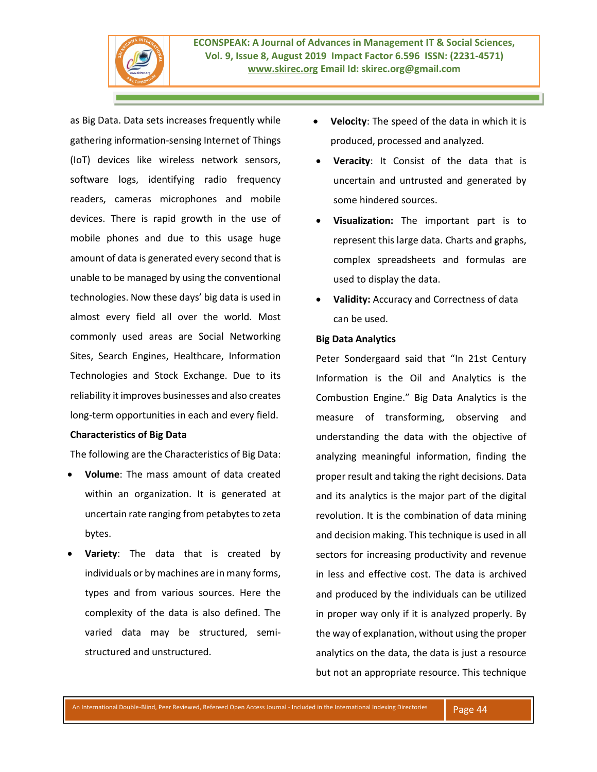

as Big Data. Data sets increases frequently while gathering information-sensing Internet of Things (IoT) devices like wireless network sensors, software logs, identifying radio frequency readers, cameras microphones and mobile devices. There is rapid growth in the use of mobile phones and due to this usage huge amount of data is generated every second that is unable to be managed by using the conventional technologies. Now these days' big data is used in almost every field all over the world. Most commonly used areas are Social Networking Sites, Search Engines, Healthcare, Information Technologies and Stock Exchange. Due to its reliability it improves businesses and also creates long-term opportunities in each and every field.

# **Characteristics of Big Data**

The following are the Characteristics of Big Data:

- **Volume**: The mass amount of data created within an organization. It is generated at uncertain rate ranging from petabytes to zeta bytes.
- **Variety**: The data that is created by individuals or by machines are in many forms, types and from various sources. Here the complexity of the data is also defined. The varied data may be structured, semistructured and unstructured.
- **Velocity**: The speed of the data in which it is produced, processed and analyzed.
- **Veracity**: It Consist of the data that is uncertain and untrusted and generated by some hindered sources.
- **Visualization:** The important part is to represent this large data. Charts and graphs, complex spreadsheets and formulas are used to display the data.
- **Validity:** Accuracy and Correctness of data can be used.

#### **Big Data Analytics**

Peter Sondergaard said that "In 21st Century Information is the Oil and Analytics is the Combustion Engine." Big Data Analytics is the measure of transforming, observing and understanding the data with the objective of analyzing meaningful information, finding the proper result and taking the right decisions. Data and its analytics is the major part of the digital revolution. It is the combination of data mining and decision making. This technique is used in all sectors for increasing productivity and revenue in less and effective cost. The data is archived and produced by the individuals can be utilized in proper way only if it is analyzed properly. By the way of explanation, without using the proper analytics on the data, the data is just a resource but not an appropriate resource. This technique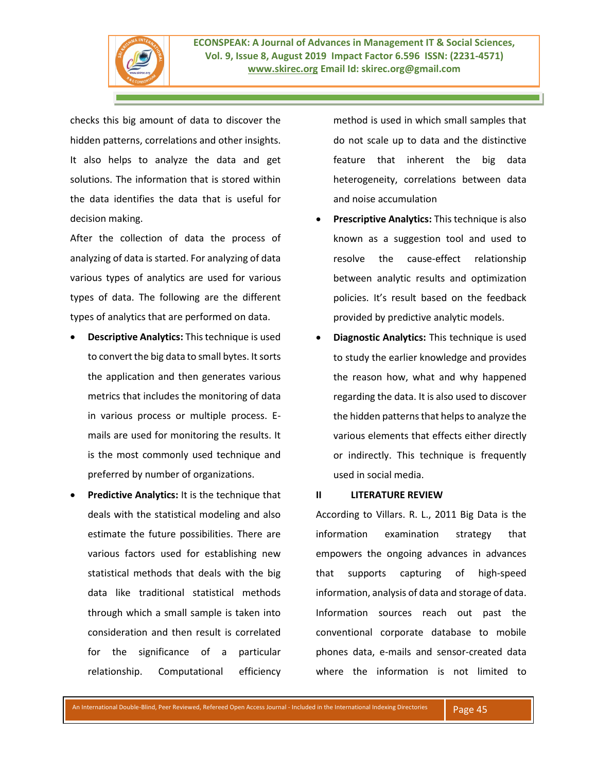

checks this big amount of data to discover the hidden patterns, correlations and other insights. It also helps to analyze the data and get solutions. The information that is stored within the data identifies the data that is useful for decision making.

After the collection of data the process of analyzing of data is started. For analyzing of data various types of analytics are used for various types of data. The following are the different types of analytics that are performed on data.

- **Descriptive Analytics:** This technique is used to convert the big data to small bytes. It sorts the application and then generates various metrics that includes the monitoring of data in various process or multiple process. Emails are used for monitoring the results. It is the most commonly used technique and preferred by number of organizations.
- **Predictive Analytics:** It is the technique that deals with the statistical modeling and also estimate the future possibilities. There are various factors used for establishing new statistical methods that deals with the big data like traditional statistical methods through which a small sample is taken into consideration and then result is correlated for the significance of a particular relationship. Computational efficiency

method is used in which small samples that do not scale up to data and the distinctive feature that inherent the big data heterogeneity, correlations between data and noise accumulation

- **Prescriptive Analytics:** This technique is also known as a suggestion tool and used to resolve the cause-effect relationship between analytic results and optimization policies. It's result based on the feedback provided by predictive analytic models.
- **Diagnostic Analytics:** This technique is used to study the earlier knowledge and provides the reason how, what and why happened regarding the data. It is also used to discover the hidden patterns that helps to analyze the various elements that effects either directly or indirectly. This technique is frequently used in social media.

#### **II LITERATURE REVIEW**

According to Villars. R. L., 2011 Big Data is the information examination strategy that empowers the ongoing advances in advances that supports capturing of high-speed information, analysis of data and storage of data. Information sources reach out past the conventional corporate database to mobile phones data, e-mails and sensor-created data where the information is not limited to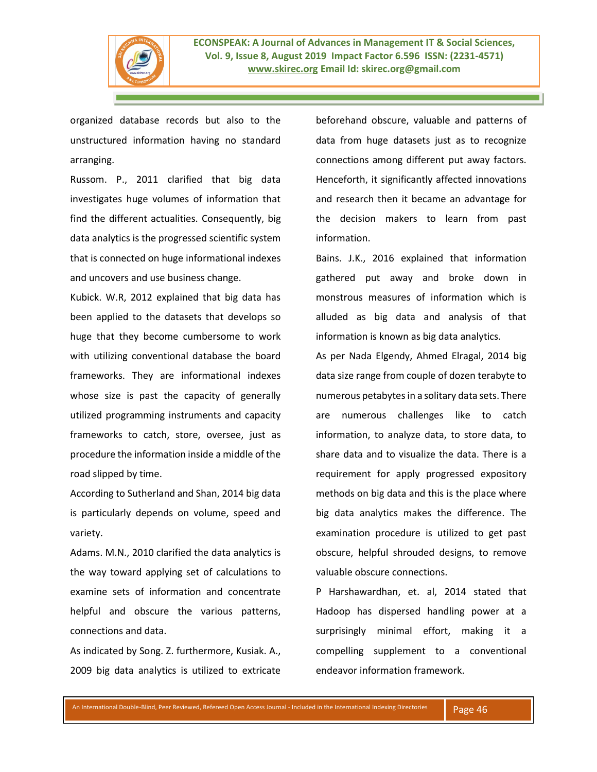

organized database records but also to the unstructured information having no standard arranging.

Russom. P., 2011 clarified that big data investigates huge volumes of information that find the different actualities. Consequently, big data analytics is the progressed scientific system that is connected on huge informational indexes and uncovers and use business change.

Kubick. W.R, 2012 explained that big data has been applied to the datasets that develops so huge that they become cumbersome to work with utilizing conventional database the board frameworks. They are informational indexes whose size is past the capacity of generally utilized programming instruments and capacity frameworks to catch, store, oversee, just as procedure the information inside a middle of the road slipped by time.

According to Sutherland and Shan, 2014 big data is particularly depends on volume, speed and variety.

Adams. M.N., 2010 clarified the data analytics is the way toward applying set of calculations to examine sets of information and concentrate helpful and obscure the various patterns, connections and data.

As indicated by Song. Z. furthermore, Kusiak. A., 2009 big data analytics is utilized to extricate beforehand obscure, valuable and patterns of data from huge datasets just as to recognize connections among different put away factors. Henceforth, it significantly affected innovations and research then it became an advantage for the decision makers to learn from past information.

Bains. J.K., 2016 explained that information gathered put away and broke down in monstrous measures of information which is alluded as big data and analysis of that information is known as big data analytics.

As per Nada Elgendy, Ahmed Elragal, 2014 big data size range from couple of dozen terabyte to numerous petabytes in a solitary data sets. There are numerous challenges like to catch information, to analyze data, to store data, to share data and to visualize the data. There is a requirement for apply progressed expository methods on big data and this is the place where big data analytics makes the difference. The examination procedure is utilized to get past obscure, helpful shrouded designs, to remove valuable obscure connections.

P Harshawardhan, et. al, 2014 stated that Hadoop has dispersed handling power at a surprisingly minimal effort, making it a compelling supplement to a conventional endeavor information framework.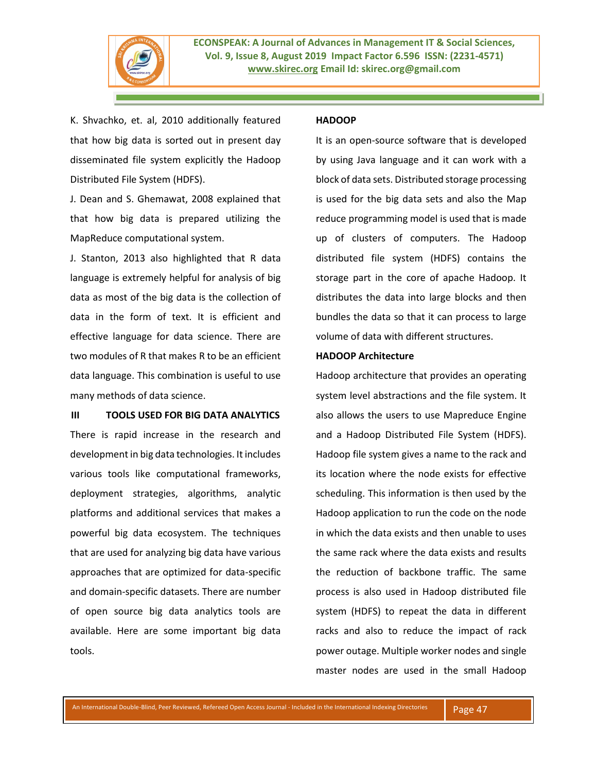

K. Shvachko, et. al, 2010 additionally featured that how big data is sorted out in present day disseminated file system explicitly the Hadoop Distributed File System (HDFS).

J. Dean and S. Ghemawat, 2008 explained that that how big data is prepared utilizing the MapReduce computational system.

J. Stanton, 2013 also highlighted that R data language is extremely helpful for analysis of big data as most of the big data is the collection of data in the form of text. It is efficient and effective language for data science. There are two modules of R that makes R to be an efficient data language. This combination is useful to use many methods of data science.

**III TOOLS USED FOR BIG DATA ANALYTICS** There is rapid increase in the research and development in big data technologies. It includes various tools like computational frameworks, deployment strategies, algorithms, analytic platforms and additional services that makes a powerful big data ecosystem. The techniques that are used for analyzing big data have various approaches that are optimized for data-specific and domain-specific datasets. There are number of open source big data analytics tools are available. Here are some important big data tools.

#### **HADOOP**

It is an open-source software that is developed by using Java language and it can work with a block of data sets. Distributed storage processing is used for the big data sets and also the Map reduce programming model is used that is made up of clusters of computers. The Hadoop distributed file system (HDFS) contains the storage part in the core of apache Hadoop. It distributes the data into large blocks and then bundles the data so that it can process to large volume of data with different structures.

## **HADOOP Architecture**

Hadoop architecture that provides an operating system level abstractions and the file system. It also allows the users to use Mapreduce Engine and a Hadoop Distributed File System (HDFS). Hadoop file system gives a name to the rack and its location where the node exists for effective scheduling. This information is then used by the Hadoop application to run the code on the node in which the data exists and then unable to uses the same rack where the data exists and results the reduction of backbone traffic. The same process is also used in Hadoop distributed file system (HDFS) to repeat the data in different racks and also to reduce the impact of rack power outage. Multiple worker nodes and single master nodes are used in the small Hadoop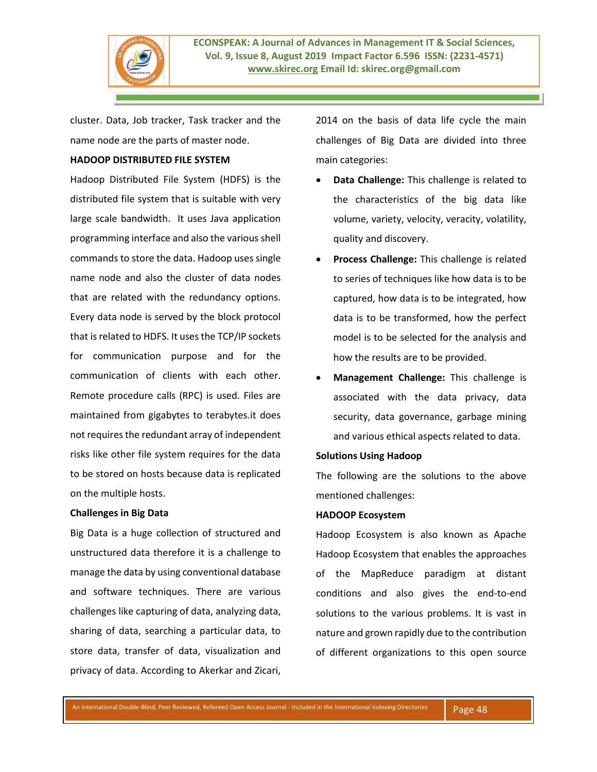

cluster. Data, Job tracker, Task tracker and the name node are the parts of master node.

# **HADOOP DISTRIBUTED FILE SYSTEM**

Hadoop Distributed File System (HDFS) is the distributed file system that is suitable with very large scale bandwidth. It uses Java application programming interface and also the various shell commands to store the data. Hadoop uses single name node and also the cluster of data nodes that are related with the redundancy options. Every data node is served by the block protocol that is related to HDFS. It uses the TCP/IP sockets for communication purpose and for the communication of clients with each other. Remote procedure calls (RPC) is used. Files are maintained from gigabytes to terabytes.it does not requires the redundant array of independent risks like other file system requires for the data to be stored on hosts because data is replicated on the multiple hosts.

# **Challenges in Big Data**

Big Data is a huge collection of structured and unstructured data therefore it is a challenge to manage the data by using conventional database and software techniques. There are various challenges like capturing of data, analyzing data, sharing of data, searching a particular data, to store data, transfer of data, visualization and privacy of data. According to Akerkar and Zicari,

2014 on the basis of data life cycle the main challenges of Big Data are divided into three main categories:

- **Data Challenge:** This challenge is related to the characteristics of the big data like volume, variety, velocity, veracity, volatility, quality and discovery.
- **Process Challenge:** This challenge is related to series of techniques like how data is to be captured, how data is to be integrated, how data is to be transformed, how the perfect model is to be selected for the analysis and how the results are to be provided.
- **Management Challenge:** This challenge is associated with the data privacy, data security, data governance, garbage mining and various ethical aspects related to data.

## **Solutions Using Hadoop**

The following are the solutions to the above mentioned challenges:

## **HADOOP Ecosystem**

Hadoop Ecosystem is also known as Apache Hadoop Ecosystem that enables the approaches of the MapReduce paradigm at distant conditions and also gives the end-to-end solutions to the various problems. It is vast in nature and grown rapidly due to the contribution of different organizations to this open source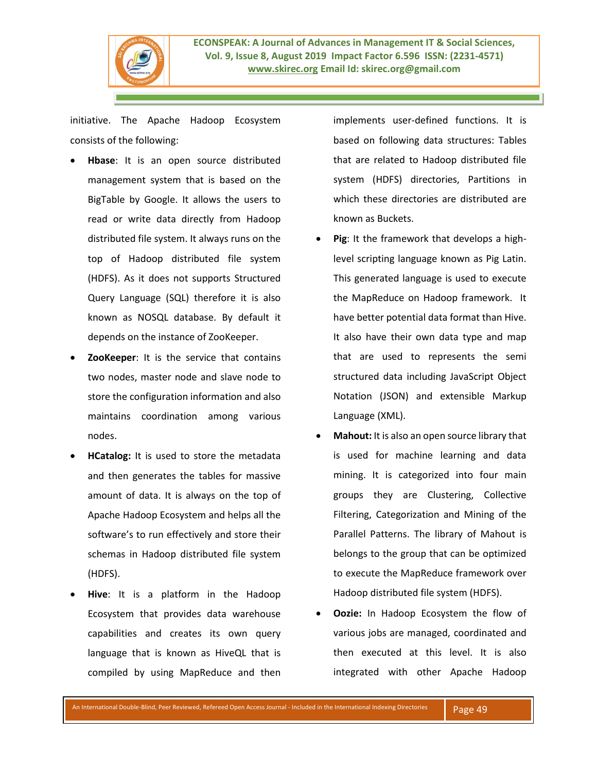

initiative. The Apache Hadoop Ecosystem consists of the following:

- **Hbase**: It is an open source distributed management system that is based on the BigTable by Google. It allows the users to read or write data directly from Hadoop distributed file system. It always runs on the top of Hadoop distributed file system (HDFS). As it does not supports Structured Query Language (SQL) therefore it is also known as NOSQL database. By default it depends on the instance of ZooKeeper.
- **ZooKeeper**: It is the service that contains two nodes, master node and slave node to store the configuration information and also maintains coordination among various nodes.
- **HCatalog:** It is used to store the metadata and then generates the tables for massive amount of data. It is always on the top of Apache Hadoop Ecosystem and helps all the software's to run effectively and store their schemas in Hadoop distributed file system (HDFS).
- **Hive**: It is a platform in the Hadoop Ecosystem that provides data warehouse capabilities and creates its own query language that is known as HiveQL that is compiled by using MapReduce and then

implements user-defined functions. It is based on following data structures: Tables that are related to Hadoop distributed file system (HDFS) directories, Partitions in which these directories are distributed are known as Buckets.

- **Pig**: It the framework that develops a highlevel scripting language known as Pig Latin. This generated language is used to execute the MapReduce on Hadoop framework. It have better potential data format than Hive. It also have their own data type and map that are used to represents the semi structured data including JavaScript Object Notation (JSON) and extensible Markup Language (XML).
- **Mahout:** It is also an open source library that is used for machine learning and data mining. It is categorized into four main groups they are Clustering, Collective Filtering, Categorization and Mining of the Parallel Patterns. The library of Mahout is belongs to the group that can be optimized to execute the MapReduce framework over Hadoop distributed file system (HDFS).
- **Oozie:** In Hadoop Ecosystem the flow of various jobs are managed, coordinated and then executed at this level. It is also integrated with other Apache Hadoop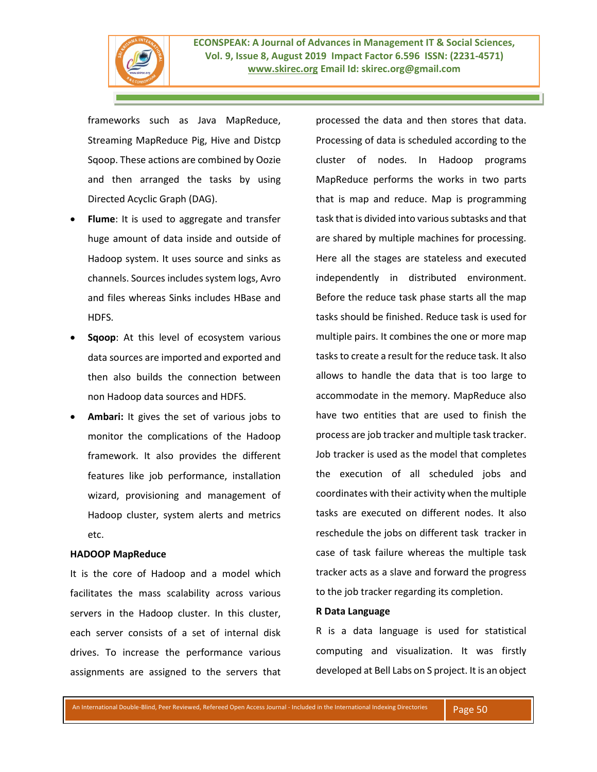

frameworks such as Java MapReduce, Streaming MapReduce Pig, Hive and Distcp Sqoop. These actions are combined by Oozie and then arranged the tasks by using Directed Acyclic Graph (DAG).

- **Flume**: It is used to aggregate and transfer huge amount of data inside and outside of Hadoop system. It uses source and sinks as channels. Sources includes system logs, Avro and files whereas Sinks includes HBase and HDFS.
- **Sqoop**: At this level of ecosystem various data sources are imported and exported and then also builds the connection between non Hadoop data sources and HDFS.
- **Ambari:** It gives the set of various jobs to monitor the complications of the Hadoop framework. It also provides the different features like job performance, installation wizard, provisioning and management of Hadoop cluster, system alerts and metrics etc.

### **HADOOP MapReduce**

It is the core of Hadoop and a model which facilitates the mass scalability across various servers in the Hadoop cluster. In this cluster, each server consists of a set of internal disk drives. To increase the performance various assignments are assigned to the servers that processed the data and then stores that data. Processing of data is scheduled according to the cluster of nodes. In Hadoop programs MapReduce performs the works in two parts that is map and reduce. Map is programming task that is divided into various subtasks and that are shared by multiple machines for processing. Here all the stages are stateless and executed independently in distributed environment. Before the reduce task phase starts all the map tasks should be finished. Reduce task is used for multiple pairs. It combines the one or more map tasks to create a result for the reduce task. It also allows to handle the data that is too large to accommodate in the memory. MapReduce also have two entities that are used to finish the process are job tracker and multiple task tracker. Job tracker is used as the model that completes the execution of all scheduled jobs and coordinates with their activity when the multiple tasks are executed on different nodes. It also reschedule the jobs on different task tracker in case of task failure whereas the multiple task tracker acts as a slave and forward the progress to the job tracker regarding its completion.

### **R Data Language**

R is a data language is used for statistical computing and visualization. It was firstly developed at Bell Labs on S project. It is an object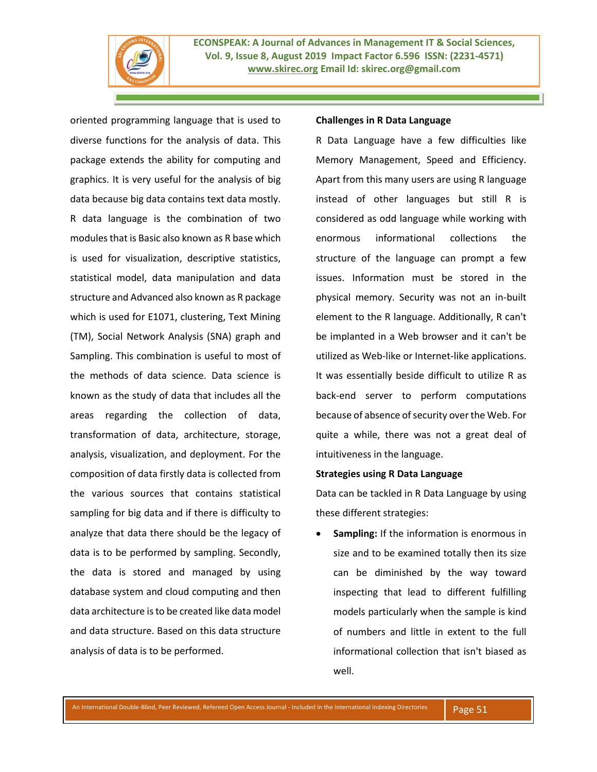

oriented programming language that is used to diverse functions for the analysis of data. This package extends the ability for computing and graphics. It is very useful for the analysis of big data because big data contains text data mostly. R data language is the combination of two modules that is Basic also known as R base which is used for visualization, descriptive statistics, statistical model, data manipulation and data structure and Advanced also known as R package which is used for E1071, clustering, Text Mining (TM), Social Network Analysis (SNA) graph and Sampling. This combination is useful to most of the methods of data science. Data science is known as the study of data that includes all the areas regarding the collection of data, transformation of data, architecture, storage, analysis, visualization, and deployment. For the composition of data firstly data is collected from the various sources that contains statistical sampling for big data and if there is difficulty to analyze that data there should be the legacy of data is to be performed by sampling. Secondly, the data is stored and managed by using database system and cloud computing and then data architecture is to be created like data model and data structure. Based on this data structure analysis of data is to be performed.

#### **Challenges in R Data Language**

R Data Language have a few difficulties like Memory Management, Speed and Efficiency. Apart from this many users are using R language instead of other languages but still R is considered as odd language while working with enormous informational collections the structure of the language can prompt a few issues. Information must be stored in the physical memory. Security was not an in-built element to the R language. Additionally, R can't be implanted in a Web browser and it can't be utilized as Web-like or Internet-like applications. It was essentially beside difficult to utilize R as back-end server to perform computations because of absence of security over the Web. For quite a while, there was not a great deal of intuitiveness in the language.

#### **Strategies using R Data Language**

Data can be tackled in R Data Language by using these different strategies:

• **Sampling:** If the information is enormous in size and to be examined totally then its size can be diminished by the way toward inspecting that lead to different fulfilling models particularly when the sample is kind of numbers and little in extent to the full informational collection that isn't biased as well.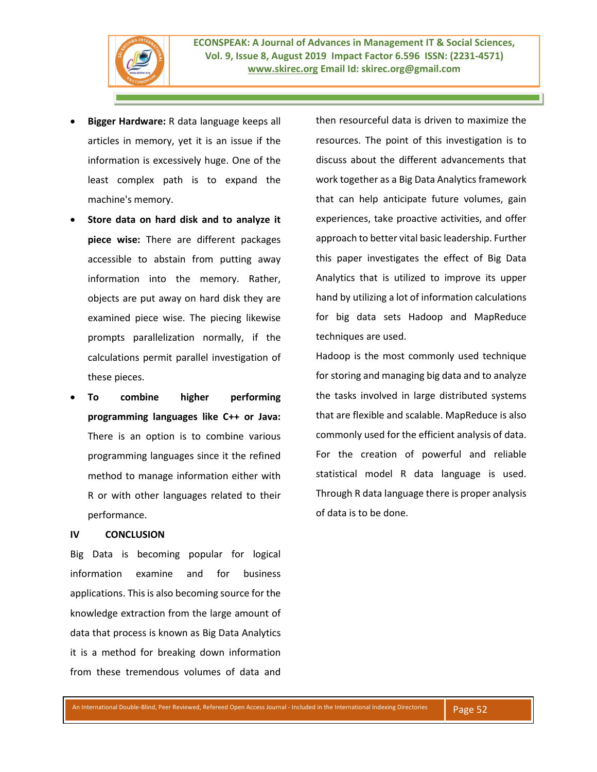

- **Bigger Hardware:** R data language keeps all articles in memory, yet it is an issue if the information is excessively huge. One of the least complex path is to expand the machine's memory.
- **Store data on hard disk and to analyze it piece wise:** There are different packages accessible to abstain from putting away information into the memory. Rather, objects are put away on hard disk they are examined piece wise. The piecing likewise prompts parallelization normally, if the calculations permit parallel investigation of these pieces.
- **To combine higher performing programming languages like C++ or Java:**  There is an option is to combine various programming languages since it the refined method to manage information either with R or with other languages related to their performance.

#### **IV CONCLUSION**

Big Data is becoming popular for logical information examine and for business applications. This is also becoming source for the knowledge extraction from the large amount of data that process is known as Big Data Analytics it is a method for breaking down information from these tremendous volumes of data and

then resourceful data is driven to maximize the resources. The point of this investigation is to discuss about the different advancements that work together as a Big Data Analytics framework that can help anticipate future volumes, gain experiences, take proactive activities, and offer approach to better vital basic leadership. Further this paper investigates the effect of Big Data Analytics that is utilized to improve its upper hand by utilizing a lot of information calculations for big data sets Hadoop and MapReduce techniques are used.

Hadoop is the most commonly used technique for storing and managing big data and to analyze the tasks involved in large distributed systems that are flexible and scalable. MapReduce is also commonly used for the efficient analysis of data. For the creation of powerful and reliable statistical model R data language is used. Through R data language there is proper analysis of data is to be done.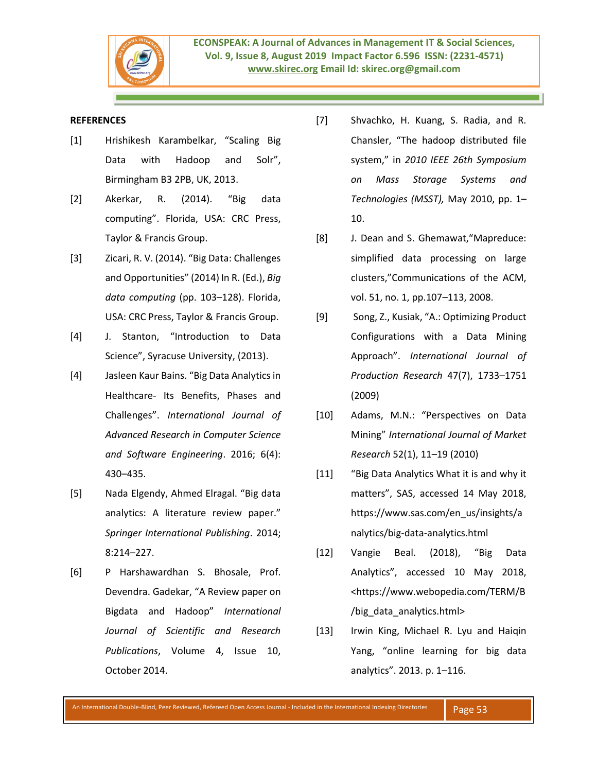

## **REFERENCES**

- [1] Hrishikesh Karambelkar, "Scaling Big Data with Hadoop and Solr", Birmingham B3 2PB, UK, 2013.
- [2] Akerkar, R. (2014). "Big data computing". Florida, USA: CRC Press, Taylor & Francis Group.
- [3] Zicari, R. V. (2014). "Big Data: Challenges and Opportunities" (2014) In R. (Ed.), *Big data computing* (pp. 103–128). Florida, USA: CRC Press, Taylor & Francis Group.
- [4] J. Stanton, "Introduction to Data Science", Syracuse University, (2013).
- [4] Jasleen Kaur Bains. "Big Data Analytics in Healthcare- Its Benefits, Phases and Challenges". *International Journal of Advanced Research in Computer Science and Software Engineering*. 2016; 6(4): 430–435.
- [5] Nada Elgendy, Ahmed Elragal. "Big data analytics: A literature review paper." *Springer International Publishing*. 2014; 8:214–227.
- [6] P Harshawardhan S. Bhosale, Prof. Devendra. Gadekar, "A Review paper on Bigdata and Hadoop" *International Journal of Scientific and Research Publications*, Volume 4, Issue 10, October 2014.
- [7] Shvachko, H. Kuang, S. Radia, and R. Chansler, "The hadoop distributed file system," in *2010 IEEE 26th Symposium on Mass Storage Systems and Technologies (MSST),* May 2010, pp. 1– 10.
- [8] J. Dean and S. Ghemawat,"Mapreduce: simplified data processing on large clusters,"Communications of the ACM, vol. 51, no. 1, pp.107–113, 2008.
- [9] Song, Z., Kusiak, "A.: Optimizing Product Configurations with a Data Mining Approach". *International Journal of Production Research* 47(7), 1733–1751 (2009)
- [10] Adams, M.N.: "Perspectives on Data Mining" *International Journal of Market Research* 52(1), 11–19 (2010)
- [11] "Big Data Analytics What it is and why it matters", SAS, accessed 14 May 2018, https://www.sas.com/en\_us/insights/a nalytics/big-data-analytics.html
- [12] Vangie Beal. (2018), "Big Data Analytics", accessed 10 May 2018, <https://www.webopedia.com/TERM/B /big\_data\_analytics.html>
- [13] Irwin King, Michael R. Lyu and Haiqin Yang, "online learning for big data analytics". 2013. p. 1–116.